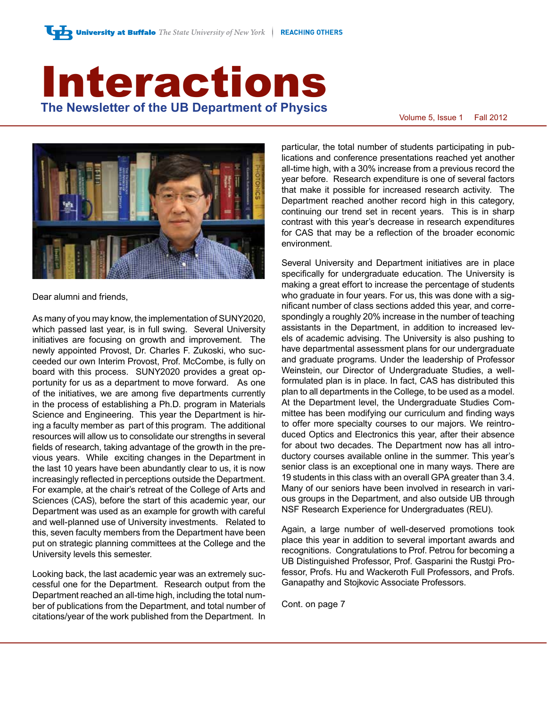# Interactions **The Newsletter of the UB Department of Physics**<br>Volume 5, Issue 1 Fall 2012



Dear alumni and friends,

As many of you may know, the implementation of SUNY2020, which passed last year, is in full swing. Several University initiatives are focusing on growth and improvement. The newly appointed Provost, Dr. Charles F. Zukoski, who succeeded our own Interim Provost, Prof. McCombe, is fully on board with this process. SUNY2020 provides a great opportunity for us as a department to move forward. As one of the initiatives, we are among five departments currently in the process of establishing a Ph.D. program in Materials Science and Engineering. This year the Department is hiring a faculty member as part of this program. The additional resources will allow us to consolidate our strengths in several fields of research, taking advantage of the growth in the previous years. While exciting changes in the Department in the last 10 years have been abundantly clear to us, it is now increasingly reflected in perceptions outside the Department. For example, at the chair's retreat of the College of Arts and Sciences (CAS), before the start of this academic year, our Department was used as an example for growth with careful and well-planned use of University investments. Related to this, seven faculty members from the Department have been put on strategic planning committees at the College and the University levels this semester.

Looking back, the last academic year was an extremely successful one for the Department. Research output from the Department reached an all-time high, including the total number of publications from the Department, and total number of citations/year of the work published from the Department. In

particular, the total number of students participating in publications and conference presentations reached yet another all-time high, with a 30% increase from a previous record the year before. Research expenditure is one of several factors that make it possible for increased research activity. The Department reached another record high in this category, continuing our trend set in recent years. This is in sharp contrast with this year's decrease in research expenditures for CAS that may be a reflection of the broader economic environment.

Several University and Department initiatives are in place specifically for undergraduate education. The University is making a great effort to increase the percentage of students who graduate in four years. For us, this was done with a significant number of class sections added this year, and correspondingly a roughly 20% increase in the number of teaching assistants in the Department, in addition to increased levels of academic advising. The University is also pushing to have departmental assessment plans for our undergraduate and graduate programs. Under the leadership of Professor Weinstein, our Director of Undergraduate Studies, a wellformulated plan is in place. In fact, CAS has distributed this plan to all departments in the College, to be used as a model. At the Department level, the Undergraduate Studies Committee has been modifying our curriculum and finding ways to offer more specialty courses to our majors. We reintroduced Optics and Electronics this year, after their absence for about two decades. The Department now has all introductory courses available online in the summer. This year's senior class is an exceptional one in many ways. There are 19 students in this class with an overall GPA greater than 3.4. Many of our seniors have been involved in research in various groups in the Department, and also outside UB through NSF Research Experience for Undergraduates (REU).

Again, a large number of well-deserved promotions took place this year in addition to several important awards and recognitions. Congratulations to Prof. Petrou for becoming a UB Distinguished Professor, Prof. Gasparini the Rustgi Professor, Profs. Hu and Wackeroth Full Professors, and Profs. Ganapathy and Stojkovic Associate Professors.

Cont. on page 7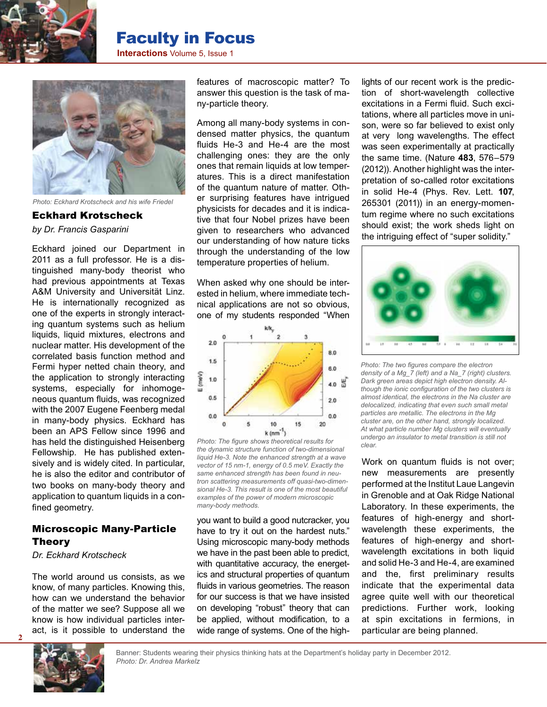

# Faculty in Focus

**Interactions** Volume 5, Issue 1



*Photo: Eckhard Krotscheck and his wife Friedel*

Eckhard Krotscheck *by Dr. Francis Gasparini*

Eckhard joined our Department in 2011 as a full professor. He is a distinguished many-body theorist who had previous appointments at Texas A&M University and Universität Linz. He is internationally recognized as one of the experts in strongly interacting quantum systems such as helium liquids, liquid mixtures, electrons and nuclear matter. His development of the correlated basis function method and Fermi hyper netted chain theory, and the application to strongly interacting systems, especially for inhomogeneous quantum fluids, was recognized with the 2007 Eugene Feenberg medal in many-body physics. Eckhard has been an APS Fellow since 1996 and has held the distinguished Heisenberg Fellowship. He has published extensively and is widely cited. In particular, he is also the editor and contributor of two books on many-body theory and application to quantum liquids in a confined geometry.

#### Microscopic Many-Particle Theory

*Dr. Eckhard Krotscheck*

The world around us consists, as we know, of many particles. Knowing this, how can we understand the behavior of the matter we see? Suppose all we know is how individual particles interact, is it possible to understand the features of macroscopic matter? To answer this question is the task of many-particle theory.

Among all many-body systems in condensed matter physics, the quantum fluids He-3 and He-4 are the most challenging ones: they are the only ones that remain liquids at low temperatures. This is a direct manifestation of the quantum nature of matter. Other surprising features have intrigued physicists for decades and it is indicative that four Nobel prizes have been given to researchers who advanced our understanding of how nature ticks through the understanding of the low temperature properties of helium.

When asked why one should be interested in helium, where immediate technical applications are not so obvious, one of my students responded "When



*Photo: The figure shows theoretical results for the dynamic structure function of two-dimensional liquid He-3. Note the enhanced strength at a wave vector of 15 nm-1, energy of 0.5 meV. Exactly the same enhanced strength has been found in neutron scattering measurements off quasi-two-dimensional He-3. This result is one of the most beautiful examples of the power of modern microscopic many-body methods.*

you want to build a good nutcracker, you have to try it out on the hardest nuts." Using microscopic many-body methods we have in the past been able to predict, with quantitative accuracy, the energetics and structural properties of quantum fluids in various geometries. The reason for our success is that we have insisted on developing "robust" theory that can be applied, without modification, to a wide range of systems. One of the high-

lights of our recent work is the prediction of short-wavelength collective excitations in a Fermi fluid. Such excitations, where all particles move in unison, were so far believed to exist only at very long wavelengths. The effect was seen experimentally at practically the same time. (Nature **483**, 576–579 (2012)). Another highlight was the interpretation of so-called rotor excitations in solid He-4 (Phys. Rev. Lett. **107**, 265301 (2011)) in an energy-momentum regime where no such excitations should exist; the work sheds light on the intriguing effect of "super solidity."



*Photo: The two figures compare the electron density of a Mg\_7 (left) and a Na\_7 (right) clusters. Dark green areas depict high electron density. Although the ionic configuration of the two clusters is almost identical, the electrons in the Na cluster are delocalized, indicating that even such small metal particles are metallic. The electrons in the Mg cluster are, on the other hand, strongly localized. At what particle number Mg clusters will eventually undergo an insulator to metal transition is still not clear.*

Work on quantum fluids is not over; new measurements are presently performed at the Institut Laue Langevin in Grenoble and at Oak Ridge National Laboratory. In these experiments, the features of high-energy and shortwavelength these experiments, the features of high-energy and shortwavelength excitations in both liquid and solid He-3 and He-4, are examined and the, first preliminary results indicate that the experimental data agree quite well with our theoretical predictions. Further work, looking at spin excitations in fermions, in particular are being planned.

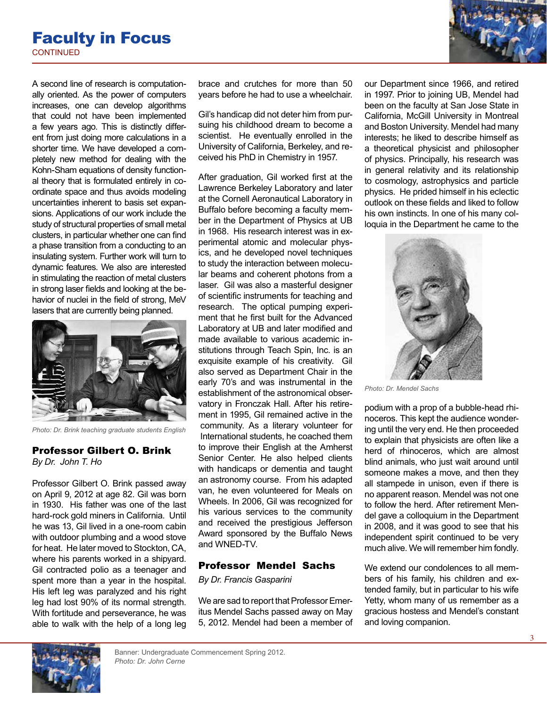### **CONTINUED** Faculty in Focus

A second line of research is computationally oriented. As the power of computers increases, one can develop algorithms that could not have been implemented a few years ago. This is distinctly different from just doing more calculations in a shorter time. We have developed a completely new method for dealing with the Kohn-Sham equations of density functional theory that is formulated entirely in coordinate space and thus avoids modeling uncertainties inherent to basis set expansions. Applications of our work include the study of structural properties of small metal clusters, in particular whether one can find a phase transition from a conducting to an insulating system. Further work will turn to dynamic features. We also are interested in stimulating the reaction of metal clusters in strong laser fields and looking at the behavior of nuclei in the field of strong, MeV lasers that are currently being planned.



*Photo: Dr. Brink teaching graduate students English*

#### Professor Gilbert O. Brink *By Dr. John T. Ho*

Professor Gilbert O. Brink passed away on April 9, 2012 at age 82. Gil was born in 1930. His father was one of the last hard-rock gold miners in California. Until he was 13, Gil lived in a one-room cabin with outdoor plumbing and a wood stove for heat. He later moved to Stockton, CA, where his parents worked in a shipyard. Gil contracted polio as a teenager and spent more than a year in the hospital. His left leg was paralyzed and his right leg had lost 90% of its normal strength. With fortitude and perseverance, he was able to walk with the help of a long leg brace and crutches for more than 50 years before he had to use a wheelchair.

Gil's handicap did not deter him from pursuing his childhood dream to become a scientist. He eventually enrolled in the University of California, Berkeley, and received his PhD in Chemistry in 1957.

After graduation, Gil worked first at the Lawrence Berkeley Laboratory and later at the Cornell Aeronautical Laboratory in Buffalo before becoming a faculty member in the Department of Physics at UB in 1968. His research interest was in experimental atomic and molecular physics, and he developed novel techniques to study the interaction between molecular beams and coherent photons from a laser. Gil was also a masterful designer of scientific instruments for teaching and research. The optical pumping experiment that he first built for the Advanced Laboratory at UB and later modified and made available to various academic institutions through Teach Spin, Inc. is an exquisite example of his creativity. Gil also served as Department Chair in the early 70's and was instrumental in the establishment of the astronomical observatory in Fronczak Hall. After his retirement in 1995, Gil remained active in the community. As a literary volunteer for International students, he coached them to improve their English at the Amherst Senior Center. He also helped clients with handicaps or dementia and taught an astronomy course. From his adapted van, he even volunteered for Meals on Wheels. In 2006, Gil was recognized for his various services to the community and received the prestigious Jefferson Award sponsored by the Buffalo News and WNED-TV.

#### Professor Mendel Sachs

*By Dr. Francis Gasparini*

We are sad to report that Professor Emeritus Mendel Sachs passed away on May 5, 2012. Mendel had been a member of our Department since 1966, and retired in 1997. Prior to joining UB, Mendel had been on the faculty at San Jose State in California, McGill University in Montreal and Boston University. Mendel had many interests; he liked to describe himself as a theoretical physicist and philosopher of physics. Principally, his research was in general relativity and its relationship to cosmology, astrophysics and particle physics. He prided himself in his eclectic outlook on these fields and liked to follow his own instincts. In one of his many colloquia in the Department he came to the



*Photo: Dr. Mendel Sachs*

podium with a prop of a bubble-head rhinoceros. This kept the audience wondering until the very end. He then proceeded to explain that physicists are often like a herd of rhinoceros, which are almost blind animals, who just wait around until someone makes a move, and then they all stampede in unison, even if there is no apparent reason. Mendel was not one to follow the herd. After retirement Mendel gave a colloquium in the Department in 2008, and it was good to see that his independent spirit continued to be very much alive. We will remember him fondly.

We extend our condolences to all members of his family, his children and extended family, but in particular to his wife Yetty, whom many of us remember as a gracious hostess and Mendel's constant and loving companion.

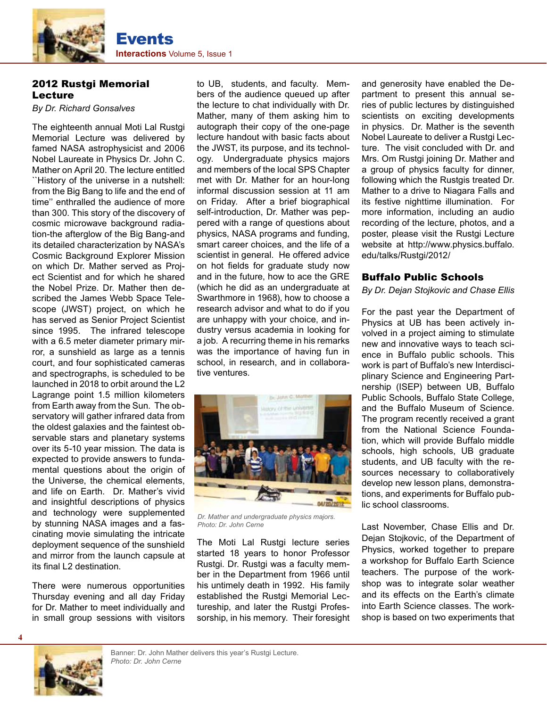

#### 2012 Rustgi Memorial Lecture

*By Dr. Richard Gonsalves*

The eighteenth annual Moti Lal Rustgi Memorial Lecture was delivered by famed NASA astrophysicist and 2006 Nobel Laureate in Physics Dr. John C. Mather on April 20. The lecture entitled ``History of the universe in a nutshell: from the Big Bang to life and the end of time'' enthralled the audience of more than 300. This story of the discovery of cosmic microwave background radiation-the afterglow of the Big Bang-and its detailed characterization by NASA's Cosmic Background Explorer Mission on which Dr. Mather served as Project Scientist and for which he shared the Nobel Prize. Dr. Mather then described the James Webb Space Telescope (JWST) project, on which he has served as Senior Project Scientist since 1995. The infrared telescope with a 6.5 meter diameter primary mirror, a sunshield as large as a tennis court, and four sophisticated cameras and spectrographs, is scheduled to be launched in 2018 to orbit around the L2 Lagrange point 1.5 million kilometers from Earth away from the Sun. The observatory will gather infrared data from the oldest galaxies and the faintest observable stars and planetary systems over its 5-10 year mission. The data is expected to provide answers to fundamental questions about the origin of the Universe, the chemical elements, and life on Earth. Dr. Mather's vivid and insightful descriptions of physics and technology were supplemented by stunning NASA images and a fascinating movie simulating the intricate deployment sequence of the sunshield and mirror from the launch capsule at its final L2 destination.

There were numerous opportunities Thursday evening and all day Friday for Dr. Mather to meet individually and in small group sessions with visitors

to UB, students, and faculty. Members of the audience queued up after the lecture to chat individually with Dr. Mather, many of them asking him to autograph their copy of the one-page lecture handout with basic facts about the JWST, its purpose, and its technology. Undergraduate physics majors and members of the local SPS Chapter met with Dr. Mather for an hour-long informal discussion session at 11 am on Friday. After a brief biographical self-introduction, Dr. Mather was peppered with a range of questions about physics, NASA programs and funding, smart career choices, and the life of a scientist in general. He offered advice on hot fields for graduate study now and in the future, how to ace the GRE (which he did as an undergraduate at Swarthmore in 1968), how to choose a research advisor and what to do if you are unhappy with your choice, and industry versus academia in looking for a job. A recurring theme in his remarks was the importance of having fun in school, in research, and in collaborative ventures.



*Dr. Mather and undergraduate physics majors. Photo: Dr. John Cerne*

The Moti Lal Rustgi lecture series started 18 years to honor Professor Rustgi. Dr. Rustgi was a faculty member in the Department from 1966 until his untimely death in 1992. His family established the Rustgi Memorial Lectureship, and later the Rustgi Professorship, in his memory. Their foresight and generosity have enabled the Department to present this annual series of public lectures by distinguished scientists on exciting developments in physics. Dr. Mather is the seventh Nobel Laureate to deliver a Rustgi Lecture. The visit concluded with Dr. and Mrs. Om Rustgi joining Dr. Mather and a group of physics faculty for dinner, following which the Rustgis treated Dr. Mather to a drive to Niagara Falls and its festive nighttime illumination. For more information, including an audio recording of the lecture, photos, and a poster, please visit the Rustgi Lecture website at http://www.physics.buffalo. edu/talks/Rustgi/2012/

#### Buffalo Public Schools

*By Dr. Dejan Stojkovic and Chase Ellis*

For the past year the Department of Physics at UB has been actively involved in a project aiming to stimulate new and innovative ways to teach science in Buffalo public schools. This work is part of Buffalo's new Interdisciplinary Science and Engineering Partnership (ISEP) between UB, Buffalo Public Schools, Buffalo State College, and the Buffalo Museum of Science. The program recently received a grant from the National Science Foundation, which will provide Buffalo middle schools, high schools, UB graduate students, and UB faculty with the resources necessary to collaboratively develop new lesson plans, demonstrations, and experiments for Buffalo public school classrooms.

Last November, Chase Ellis and Dr. Dejan Stojkovic, of the Department of Physics, worked together to prepare a workshop for Buffalo Earth Science teachers. The purpose of the workshop was to integrate solar weather and its effects on the Earth's climate into Earth Science classes. The workshop is based on two experiments that

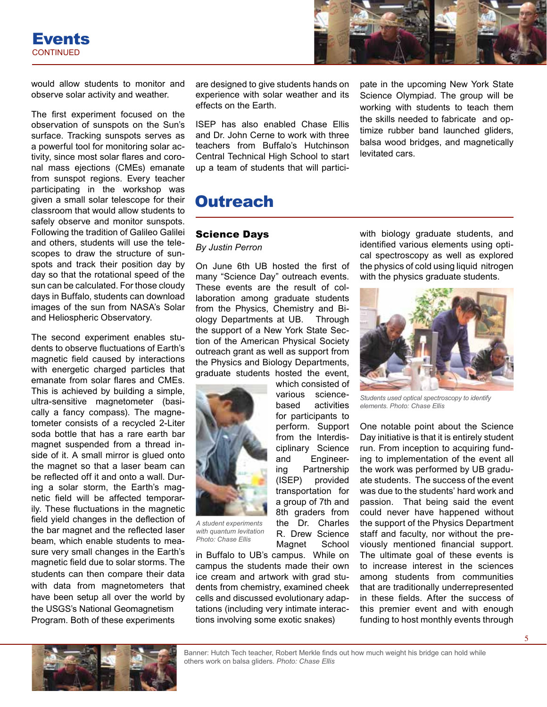



would allow students to monitor and observe solar activity and weather.

The first experiment focused on the observation of sunspots on the Sun's surface. Tracking sunspots serves as a powerful tool for monitoring solar activity, since most solar flares and coronal mass ejections (CMEs) emanate from sunspot regions. Every teacher participating in the workshop was given a small solar telescope for their classroom that would allow students to safely observe and monitor sunspots. Following the tradition of Galileo Galilei and others, students will use the telescopes to draw the structure of sunspots and track their position day by day so that the rotational speed of the sun can be calculated. For those cloudy days in Buffalo, students can download images of the sun from NASA's Solar and Heliospheric Observatory.

The second experiment enables students to observe fluctuations of Earth's magnetic field caused by interactions with energetic charged particles that emanate from solar flares and CMEs. This is achieved by building a simple, ultra-sensitive magnetometer (basically a fancy compass). The magnetometer consists of a recycled 2-Liter soda bottle that has a rare earth bar magnet suspended from a thread inside of it. A small mirror is glued onto the magnet so that a laser beam can be reflected off it and onto a wall. During a solar storm, the Earth's magnetic field will be affected temporarily. These fluctuations in the magnetic field yield changes in the deflection of the bar magnet and the reflected laser beam, which enable students to measure very small changes in the Earth's magnetic field due to solar storms. The students can then compare their data with data from magnetometers that have been setup all over the world by the USGS's National Geomagnetism Program. Both of these experiments

are designed to give students hands on experience with solar weather and its effects on the Earth.

ISEP has also enabled Chase Ellis and Dr. John Cerne to work with three teachers from Buffalo's Hutchinson Central Technical High School to start up a team of students that will participate in the upcoming New York State Science Olympiad. The group will be working with students to teach them the skills needed to fabricate and optimize rubber band launched gliders, balsa wood bridges, and magnetically levitated cars.

# **Outreach**

#### Science Days

*By Justin Perron*

On June 6th UB hosted the first of many "Science Day" outreach events. These events are the result of collaboration among graduate students from the Physics, Chemistry and Biology Departments at UB. Through the support of a New York State Section of the American Physical Society outreach grant as well as support from the Physics and Biology Departments, graduate students hosted the event,

> which consisted of various sciencebased activities for participants to perform. Support from the Interdisciplinary Science and Engineering Partnership (ISEP) provided transportation for a group of 7th and 8th graders from the Dr. Charles R. Drew Science Magnet School



*A student experiments with quantum levitation Photo: Chase Ellis*

in Buffalo to UB's campus. While on campus the students made their own ice cream and artwork with grad students from chemistry, examined cheek cells and discussed evolutionary adaptations (including very intimate interactions involving some exotic snakes)

with biology graduate students, and identified various elements using optical spectroscopy as well as explored the physics of cold using liquid nitrogen with the physics graduate students.



*Students used optical spectroscopy to identify elements. Photo: Chase Ellis*

One notable point about the Science Day initiative is that it is entirely student run. From inception to acquiring funding to implementation of the event all the work was performed by UB graduate students. The success of the event was due to the students' hard work and passion. That being said the event could never have happened without the support of the Physics Department staff and faculty, nor without the previously mentioned financial support. The ultimate goal of these events is to increase interest in the sciences among students from communities that are traditionally underrepresented in these fields. After the success of this premier event and with enough funding to host monthly events through

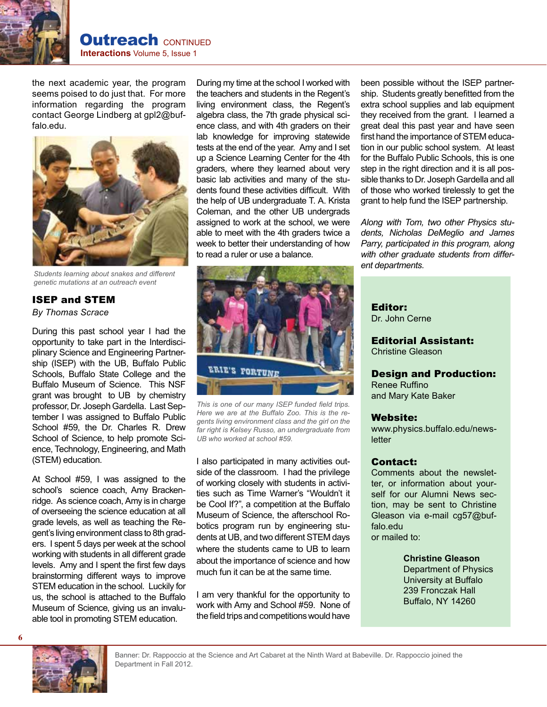

the next academic year, the program seems poised to do just that. For more information regarding the program contact George Lindberg at gpl2@buffalo.edu.



*Students learning about snakes and different genetic mutations at an outreach event*

#### ISEP and STEM *By Thomas Scrace*

During this past school year I had the opportunity to take part in the Interdisciplinary Science and Engineering Partnership (ISEP) with the UB, Buffalo Public Schools, Buffalo State College and the Buffalo Museum of Science. This NSF grant was brought to UB by chemistry professor, Dr. Joseph Gardella. Last September I was assigned to Buffalo Public School #59, the Dr. Charles R. Drew School of Science, to help promote Science, Technology, Engineering, and Math (STEM) education.

At School #59, I was assigned to the school's science coach, Amy Brackenridge. As science coach, Amy is in charge of overseeing the science education at all grade levels, as well as teaching the Regent's living environment class to 8th graders. I spent 5 days per week at the school working with students in all different grade levels. Amy and I spent the first few days brainstorming different ways to improve STEM education in the school. Luckily for us, the school is attached to the Buffalo Museum of Science, giving us an invaluable tool in promoting STEM education.

During my time at the school I worked with the teachers and students in the Regent's living environment class, the Regent's algebra class, the 7th grade physical science class, and with 4th graders on their lab knowledge for improving statewide tests at the end of the year. Amy and I set up a Science Learning Center for the 4th graders, where they learned about very basic lab activities and many of the students found these activities difficult. With the help of UB undergraduate T. A. Krista Coleman, and the other UB undergrads assigned to work at the school, we were able to meet with the 4th graders twice a week to better their understanding of how to read a ruler or use a balance.



*This is one of our many ISEP funded field trips. Here we are at the Buffalo Zoo. This is the regents living environment class and the girl on the far right is Kelsey Russo, an undergraduate from UB who worked at school #59.*

I also participated in many activities outside of the classroom. I had the privilege of working closely with students in activities such as Time Warner's "Wouldn't it be Cool If?", a competition at the Buffalo Museum of Science, the afterschool Robotics program run by engineering students at UB, and two different STEM days where the students came to UB to learn about the importance of science and how much fun it can be at the same time.

I am very thankful for the opportunity to work with Amy and School #59. None of the field trips and competitions would have

been possible without the ISEP partnership. Students greatly benefitted from the extra school supplies and lab equipment they received from the grant. I learned a great deal this past year and have seen first hand the importance of STEM education in our public school system. At least for the Buffalo Public Schools, this is one step in the right direction and it is all possible thanks to Dr. Joseph Gardella and all of those who worked tirelessly to get the grant to help fund the ISEP partnership.

*Along with Tom, two other Physics students, Nicholas DeMeglio and James Parry, participated in this program, along with other graduate students from different departments.*

Editor: Dr. John Cerne

Editorial Assistant: Christine Gleason

Design and Production: Renee Ruffino

and Mary Kate Baker

#### Website:

www.physics.buffalo.edu/newsletter

#### Contact:

Comments about the newsletter, or information about yourself for our Alumni News section, may be sent to Christine Gleason via e-mail cg57@buffalo.edu or mailed to:

> **Christine Gleason**  Department of Physics University at Buffalo 239 Fronczak Hall Buffalo, NY 14260

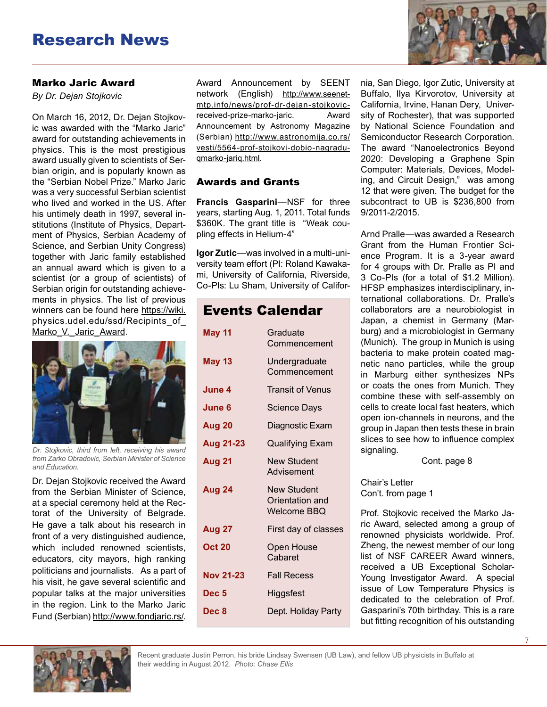# Research News

#### Marko Jaric Award

*By Dr. Dejan Stojkovic*

On March 16, 2012, Dr. Dejan Stojkovic was awarded with the "Marko Jaric" award for outstanding achievements in physics. This is the most prestigious award usually given to scientists of Serbian origin, and is popularly known as the "Serbian Nobel Prize." Marko Jaric was a very successful Serbian scientist who lived and worked in the US. After his untimely death in 1997, several institutions (Institute of Physics, Department of Physics, Serbian Academy of Science, and Serbian Unity Congress) together with Jaric family established an annual award which is given to a scientist (or a group of scientists) of Serbian origin for outstanding achievements in physics. The list of previous winners can be found here https://wiki. physics.udel.edu/ssd/Recipints\_of\_ Marko V. Jaric Award.



*Dr. Stojkovic, third from left, receiving his award from Zarko Obradovic, Serbian Minister of Science and Education.*

Dr. Dejan Stojkovic received the Award from the Serbian Minister of Science, at a special ceremony held at the Rectorat of the University of Belgrade. He gave a talk about his research in front of a very distinguished audience, which included renowned scientists, educators, city mayors, high ranking politicians and journalists. As a part of his visit, he gave several scientific and popular talks at the major universities in the region. Link to the Marko Jaric Fund (Serbian) http://www.fondjaric.rs/.

Award Announcement by SEENT network (English) http://www.seenetmtp.info/news/prof-dr-dejan-stojkovicreceived-prize-marko-jaric. Award Announcement by Astronomy Magazine (Serbian) http://www.astronomija.co.rs/ vesti/5564-prof-stojkovi-dobio-nagraduqmarko-jariq.html.

#### Awards and Grants

**Francis Gasparini**—NSF for three years, starting Aug. 1, 2011. Total funds \$360K. The grant title is "Weak coupling effects in Helium-4"

**Igor Zutic**—was involved in a multi-university team effort (PI: Roland Kawakami, University of California, Riverside, Co-PIs: Lu Sham, University of Califor-

## Events Calendar

| <b>May 11</b>    | Graduate<br>Commencement                             |
|------------------|------------------------------------------------------|
| <b>May 13</b>    | Undergraduate<br>Commencement                        |
| June 4           | <b>Transit of Venus</b>                              |
| June 6           | <b>Science Days</b>                                  |
| Aug 20           | Diagnostic Exam                                      |
| Aug 21-23        | <b>Qualifying Exam</b>                               |
| Aug 21           | <b>New Student</b><br>Advisement                     |
| Aug 24           | New Student<br>Orientation and<br><b>Welcome BBQ</b> |
| <b>Aug 27</b>    | First day of classes                                 |
| <b>Oct 20</b>    | <b>Open House</b><br>Cabaret                         |
| <b>Nov 21-23</b> | <b>Fall Recess</b>                                   |
| Dec <sub>5</sub> | Higgsfest                                            |
| Dec 8            | Dept. Holiday Party                                  |
|                  |                                                      |

nia, San Diego, Igor Zutic, University at Buffalo, Ilya Kirvorotov, University at California, Irvine, Hanan Dery, University of Rochester), that was supported by National Science Foundation and Semiconductor Research Corporation. The award "Nanoelectronics Beyond 2020: Developing a Graphene Spin Computer: Materials, Devices, Modeling, and Circuit Design," was among 12 that were given. The budget for the subcontract to UB is \$236,800 from 9/2011-2/2015.

Arnd Pralle—was awarded a Research Grant from the Human Frontier Science Program. It is a 3-year award for 4 groups with Dr. Pralle as PI and 3 Co-PIs (for a total of \$1.2 Million). HFSP emphasizes interdisciplinary, international collaborations. Dr. Pralle's collaborators are a neurobiologist in Japan, a chemist in Germany (Marburg) and a microbiologist in Germany (Munich). The group in Munich is using bacteria to make protein coated magnetic nano particles, while the group in Marburg either synthesizes NPs or coats the ones from Munich. They combine these with self-assembly on cells to create local fast heaters, which open ion-channels in neurons, and the group in Japan then tests these in brain slices to see how to influence complex signaling.

Cont. page 8

Chair's Letter Con't. from page 1

Prof. Stojkovic received the Marko Jaric Award, selected among a group of renowned physicists worldwide. Prof. Zheng, the newest member of our long list of NSF CAREER Award winners, received a UB Exceptional Scholar-Young Investigator Award. A special issue of Low Temperature Physics is dedicated to the celebration of Prof. Gasparini's 70th birthday. This is a rare but fitting recognition of his outstanding



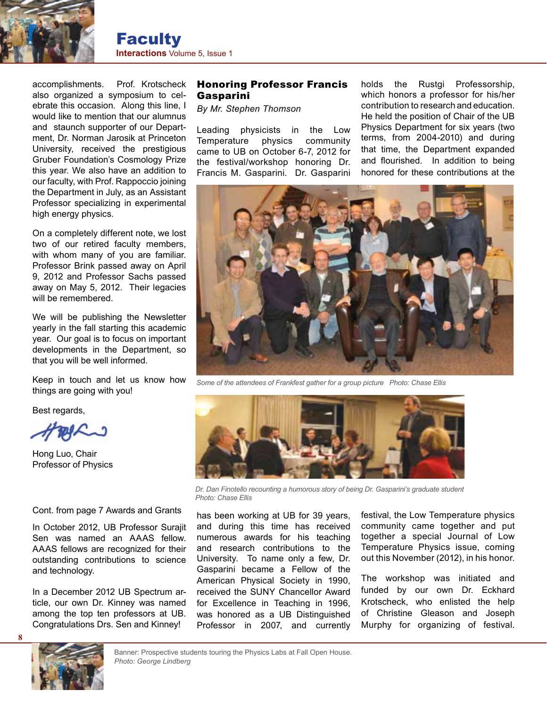

accomplishments. Prof. Krotscheck also organized a symposium to celebrate this occasion. Along this line, I would like to mention that our alumnus and staunch supporter of our Department, Dr. Norman Jarosik at Princeton University, received the prestigious Gruber Foundation's Cosmology Prize this year. We also have an addition to our faculty, with Prof. Rappoccio joining the Department in July, as an Assistant Professor specializing in experimental high energy physics.

On a completely different note, we lost two of our retired faculty members, with whom many of you are familiar. Professor Brink passed away on April 9, 2012 and Professor Sachs passed away on May 5, 2012. Their legacies will be remembered.

We will be publishing the Newsletter yearly in the fall starting this academic year. Our goal is to focus on important developments in the Department, so that you will be well informed.

Keep in touch and let us know how things are going with you!

Best regards,

Hong Luo, Chair Professor of Physics

Cont. from page 7 Awards and Grants

In October 2012, UB Professor Surajit Sen was named an AAAS fellow. AAAS fellows are recognized for their outstanding contributions to science and technology.

In a December 2012 UB Spectrum article, our own Dr. Kinney was named among the top ten professors at UB. Congratulations Drs. Sen and Kinney!

#### Honoring Professor Francis Gasparini

*By Mr. Stephen Thomson*

Leading physicists in the Low Temperature physics community came to UB on October 6-7, 2012 for the festival/workshop honoring Dr. Francis M. Gasparini. Dr. Gasparini

holds the Rustgi Professorship, which honors a professor for his/her contribution to research and education. He held the position of Chair of the UB Physics Department for six years (two terms, from 2004-2010) and during that time, the Department expanded and flourished. In addition to being honored for these contributions at the



*Some of the attendees of Frankfest gather for a group picture Photo: Chase Ellis*



*Dr. Dan Finotello recounting a humorous story of being Dr. Gasparini's graduate student Photo: Chase Ellis*

has been working at UB for 39 years, and during this time has received numerous awards for his teaching and research contributions to the University. To name only a few, Dr. Gasparini became a Fellow of the American Physical Society in 1990, received the SUNY Chancellor Award for Excellence in Teaching in 1996, was honored as a UB Distinguished Professor in 2007, and currently festival, the Low Temperature physics community came together and put together a special Journal of Low Temperature Physics issue, coming out this November (2012), in his honor.

The workshop was initiated and funded by our own Dr. Eckhard Krotscheck, who enlisted the help of Christine Gleason and Joseph Murphy for organizing of festival.

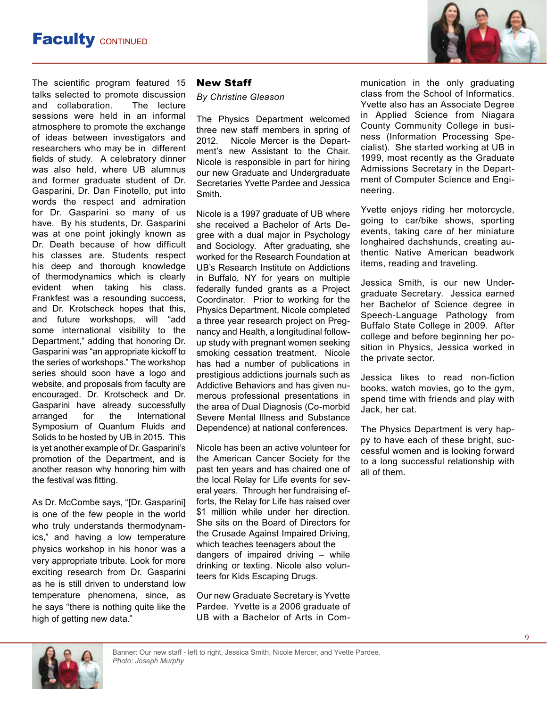

The scientific program featured 15 talks selected to promote discussion and collaboration. The lecture sessions were held in an informal atmosphere to promote the exchange of ideas between investigators and researchers who may be in different fields of study. A celebratory dinner was also held, where UB alumnus and former graduate student of Dr. Gasparini, Dr. Dan Finotello, put into words the respect and admiration for Dr. Gasparini so many of us have. By his students, Dr. Gasparini was at one point jokingly known as Dr. Death because of how difficult his classes are. Students respect his deep and thorough knowledge of thermodynamics which is clearly evident when taking his class. Frankfest was a resounding success, and Dr. Krotscheck hopes that this, and future workshops, will "add some international visibility to the Department," adding that honoring Dr. Gasparini was "an appropriate kickoff to the series of workshops." The workshop series should soon have a logo and website, and proposals from faculty are encouraged. Dr. Krotscheck and Dr. Gasparini have already successfully arranged for the International Symposium of Quantum Fluids and Solids to be hosted by UB in 2015. This is yet another example of Dr. Gasparini's promotion of the Department, and is another reason why honoring him with the festival was fitting.

As Dr. McCombe says, "[Dr. Gasparini] is one of the few people in the world who truly understands thermodynamics," and having a low temperature physics workshop in his honor was a very appropriate tribute. Look for more exciting research from Dr. Gasparini as he is still driven to understand low temperature phenomena, since, as he says "there is nothing quite like the high of getting new data."

#### New Staff

*By Christine Gleason*

The Physics Department welcomed three new staff members in spring of 2012. Nicole Mercer is the Department's new Assistant to the Chair. Nicole is responsible in part for hiring our new Graduate and Undergraduate Secretaries Yvette Pardee and Jessica Smith.

Nicole is a 1997 graduate of UB where she received a Bachelor of Arts Degree with a dual major in Psychology and Sociology. After graduating, she worked for the Research Foundation at UB's Research Institute on Addictions in Buffalo, NY for years on multiple federally funded grants as a Project Coordinator. Prior to working for the Physics Department, Nicole completed a three year research project on Pregnancy and Health, a longitudinal followup study with pregnant women seeking smoking cessation treatment. Nicole has had a number of publications in prestigious addictions journals such as Addictive Behaviors and has given numerous professional presentations in the area of Dual Diagnosis (Co-morbid Severe Mental Illness and Substance Dependence) at national conferences.

Nicole has been an active volunteer for the American Cancer Society for the past ten years and has chaired one of the local Relay for Life events for several years. Through her fundraising efforts, the Relay for Life has raised over \$1 million while under her direction. She sits on the Board of Directors for the Crusade Against Impaired Driving, which teaches teenagers about the dangers of impaired driving – while drinking or texting. Nicole also volunteers for Kids Escaping Drugs.

Our new Graduate Secretary is Yvette Pardee. Yvette is a 2006 graduate of UB with a Bachelor of Arts in Communication in the only graduating class from the School of Informatics. Yvette also has an Associate Degree in Applied Science from Niagara County Community College in business (Information Processing Specialist). She started working at UB in 1999, most recently as the Graduate Admissions Secretary in the Department of Computer Science and Engineering.

Yvette enjoys riding her motorcycle, going to car/bike shows, sporting events, taking care of her miniature longhaired dachshunds, creating authentic Native American beadwork items, reading and traveling.

Jessica Smith, is our new Undergraduate Secretary. Jessica earned her Bachelor of Science degree in Speech-Language Pathology from Buffalo State College in 2009. After college and before beginning her position in Physics, Jessica worked in the private sector.

Jessica likes to read non-fiction books, watch movies, go to the gym, spend time with friends and play with Jack, her cat.

The Physics Department is very happy to have each of these bright, successful women and is looking forward to a long successful relationship with all of them.

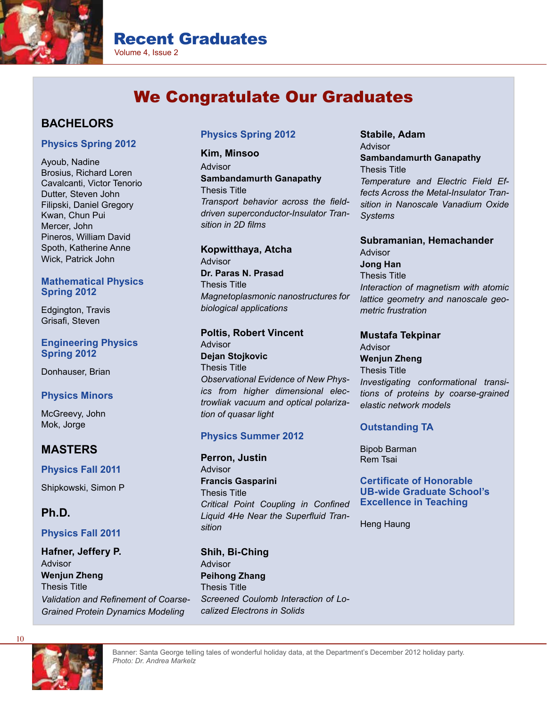

# Recent Graduates

Volume 4, Issue 2

# We Congratulate Our Graduates

#### **BACHELORS**

#### **Physics Spring 2012**

Ayoub, Nadine Brosius, Richard Loren Cavalcanti, Victor Tenorio Dutter, Steven John Filipski, Daniel Gregory Kwan, Chun Pui Mercer, John Pineros, William David Spoth, Katherine Anne Wick, Patrick John

#### **Mathematical Physics Spring 2012**

Edgington, Travis Grisafi, Steven

#### **Engineering Physics Spring 2012**

Donhauser, Brian

#### **Physics Minors**

McGreevy, John Mok, Jorge

#### **MASTERS**

**Physics Fall 2011**

Shipkowski, Simon P

#### **Ph.D.**

#### **Physics Fall 2011**

**Hafner, Jeffery P.** Advisor **Wenjun Zheng** Thesis Title *Validation and Refinement of Coarse-Grained Protein Dynamics Modeling*

#### **Physics Spring 2012**

**Kim, Minsoo** Advisor **Sambandamurth Ganapathy** Thesis Title *Transport behavior across the fielddriven superconductor-Insulator Transition in 2D films* 

**Kopwitthaya, Atcha** Advisor **Dr. Paras N. Prasad** Thesis Title *Magnetoplasmonic nanostructures for biological applications* 

#### **Poltis, Robert Vincent**

Advisor **Dejan Stojkovic** Thesis Title *Observational Evidence of New Physics from higher dimensional electrowliak vacuum and optical polarization of quasar light*

#### **Physics Summer 2012**

**Perron, Justin** Advisor **Francis Gasparini** Thesis Title *Critical Point Coupling in Confined Liquid 4He Near the Superfluid Transition* 

**Shih, Bi-Ching** Advisor **Peihong Zhang** Thesis Title *Screened Coulomb Interaction of Localized Electrons in Solids* 

**Stabile, Adam** Advisor **Sambandamurth Ganapathy** Thesis Title *Temperature and Electric Field Effects Across the Metal-Insulator Transition in Nanoscale Vanadium Oxide Systems* 

**Subramanian, Hemachander** Advisor **Jong Han** Thesis Title *Interaction of magnetism with atomic lattice geometry and nanoscale geometric frustration* 

**Mustafa Tekpinar** Advisor **Wenjun Zheng** Thesis Title *Investigating conformational transitions of proteins by coarse-grained elastic network models* 

#### **Outstanding TA**

Bipob Barman Rem Tsai

**Certificate of Honorable UB-wide Graduate School's Excellence in Teaching**

Heng Haung



Banner: Santa George telling tales of wonderful holiday data, at the Department's December 2012 holiday party. *Photo: Dr. Andrea Markelz*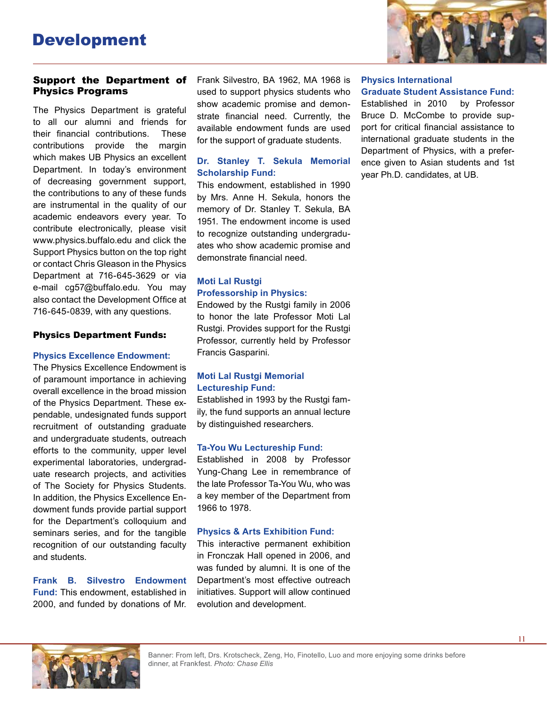

#### Support the Department of Physics Programs

The Physics Department is grateful to all our alumni and friends for their financial contributions. These contributions provide the margin which makes UB Physics an excellent Department. In today's environment of decreasing government support, the contributions to any of these funds are instrumental in the quality of our academic endeavors every year. To contribute electronically, please visit www.physics.buffalo.edu and click the Support Physics button on the top right or contact Chris Gleason in the Physics Department at 716-645-3629 or via e-mail cg57@buffalo.edu. You may also contact the Development Office at 716-645-0839, with any questions.

#### Physics Department Funds:

#### **Physics Excellence Endowment:**

The Physics Excellence Endowment is of paramount importance in achieving overall excellence in the broad mission of the Physics Department. These expendable, undesignated funds support recruitment of outstanding graduate and undergraduate students, outreach efforts to the community, upper level experimental laboratories, undergraduate research projects, and activities of The Society for Physics Students. In addition, the Physics Excellence Endowment funds provide partial support for the Department's colloquium and seminars series, and for the tangible recognition of our outstanding faculty and students.

**Frank B. Silvestro Endowment Fund:** This endowment, established in 2000, and funded by donations of Mr. Frank Silvestro, BA 1962, MA 1968 is used to support physics students who show academic promise and demonstrate financial need. Currently, the available endowment funds are used for the support of graduate students.

#### **Dr. Stanley T. Sekula Memorial Scholarship Fund:**

This endowment, established in 1990 by Mrs. Anne H. Sekula, honors the memory of Dr. Stanley T. Sekula, BA 1951. The endowment income is used to recognize outstanding undergraduates who show academic promise and demonstrate financial need.

#### **Moti Lal Rustgi Professorship in Physics:**

Endowed by the Rustgi family in 2006 to honor the late Professor Moti Lal Rustgi. Provides support for the Rustgi Professor, currently held by Professor Francis Gasparini.

#### **Moti Lal Rustgi Memorial Lectureship Fund:**

Established in 1993 by the Rustgi family, the fund supports an annual lecture by distinguished researchers.

#### **Ta-You Wu Lectureship Fund:**

Established in 2008 by Professor Yung-Chang Lee in remembrance of the late Professor Ta-You Wu, who was a key member of the Department from 1966 to 1978.

#### **Physics & Arts Exhibition Fund:**

This interactive permanent exhibition in Fronczak Hall opened in 2006, and was funded by alumni. It is one of the Department's most effective outreach initiatives. Support will allow continued evolution and development.

#### **Physics International**

**Graduate Student Assistance Fund:** Established in 2010 by Professor Bruce D. McCombe to provide support for critical financial assistance to international graduate students in the Department of Physics, with a preference given to Asian students and 1st year Ph.D. candidates, at UB.